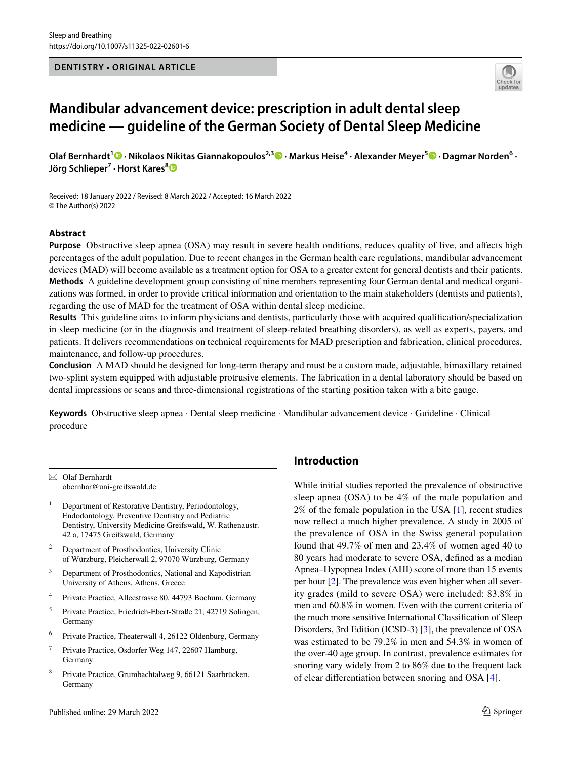### **DENTISTRY • ORIGINAL ARTICLE**



# **Mandibular advancement device: prescription in adult dental sleep medicine — guideline of the German Society of Dental Sleep Medicine**

**Olaf Bernhardt1 · Nikolaos Nikitas Giannakopoulos2,3 · Markus Heise4 · Alexander Meyer5  [·](http://orcid.org/0000-0001-5256-1625) Dagmar Norden6 · Jörg Schlieper7 · Horst Kares[8](http://orcid.org/0000-0003-2594-4318)**

Received: 18 January 2022 / Revised: 8 March 2022 / Accepted: 16 March 2022 © The Author(s) 2022

# **Abstract**

**Purpose** Obstructive sleep apnea (OSA) may result in severe health onditions, reduces quality of live, and afects high percentages of the adult population. Due to recent changes in the German health care regulations, mandibular advancement devices (MAD) will become available as a treatment option for OSA to a greater extent for general dentists and their patients. **Methods** A guideline development group consisting of nine members representing four German dental and medical organizations was formed, in order to provide critical information and orientation to the main stakeholders (dentists and patients), regarding the use of MAD for the treatment of OSA within dental sleep medicine.

**Results** This guideline aims to inform physicians and dentists, particularly those with acquired qualifcation/specialization in sleep medicine (or in the diagnosis and treatment of sleep-related breathing disorders), as well as experts, payers, and patients. It delivers recommendations on technical requirements for MAD prescription and fabrication, clinical procedures, maintenance, and follow-up procedures.

**Conclusion** A MAD should be designed for long-term therapy and must be a custom made, adjustable, bimaxillary retained two-splint system equipped with adjustable protrusive elements. The fabrication in a dental laboratory should be based on dental impressions or scans and three-dimensional registrations of the starting position taken with a bite gauge.

**Keywords** Obstructive sleep apnea · Dental sleep medicine · Mandibular advancement device · Guideline · Clinical procedure

 $\boxtimes$  Olaf Bernhardt obernhar@uni-greifswald.de

<sup>1</sup> Department of Restorative Dentistry, Periodontology, Endodontology, Preventive Dentistry and Pediatric Dentistry, University Medicine Greifswald, W. Rathenaustr. 42 a, 17475 Greifswald, Germany

- <sup>2</sup> Department of Prosthodontics, University Clinic of Würzburg, Pleicherwall 2, 97070 Würzburg, Germany
- <sup>3</sup> Department of Prosthodontics, National and Kapodistrian University of Athens, Athens, Greece
- <sup>4</sup> Private Practice, Alleestrasse 80, 44793 Bochum, Germany
- <sup>5</sup> Private Practice, Friedrich-Ebert-Straße 21, 42719 Solingen, Germany
- <sup>6</sup> Private Practice, Theaterwall 4, 26122 Oldenburg, Germany
- <sup>7</sup> Private Practice, Osdorfer Weg 147, 22607 Hamburg, Germany
- <sup>8</sup> Private Practice, Grumbachtalweg 9, 66121 Saarbrücken, Germany

# **Introduction**

While initial studies reported the prevalence of obstructive sleep apnea (OSA) to be 4% of the male population and 2% of the female population in the USA [\[1](#page-7-0)], recent studies now refect a much higher prevalence. A study in 2005 of the prevalence of OSA in the Swiss general population found that 49.7% of men and 23.4% of women aged 40 to 80 years had moderate to severe OSA, defned as a median Apnea–Hypopnea Index (AHI) score of more than 15 events per hour [[2\]](#page-7-1). The prevalence was even higher when all severity grades (mild to severe OSA) were included: 83.8% in men and 60.8% in women. Even with the current criteria of the much more sensitive International Classifcation of Sleep Disorders, 3rd Edition (ICSD-3) [[3\]](#page-7-2), the prevalence of OSA was estimated to be 79.2% in men and 54.3% in women of the over-40 age group. In contrast, prevalence estimates for snoring vary widely from 2 to 86% due to the frequent lack of clear diferentiation between snoring and OSA [\[4](#page-7-3)].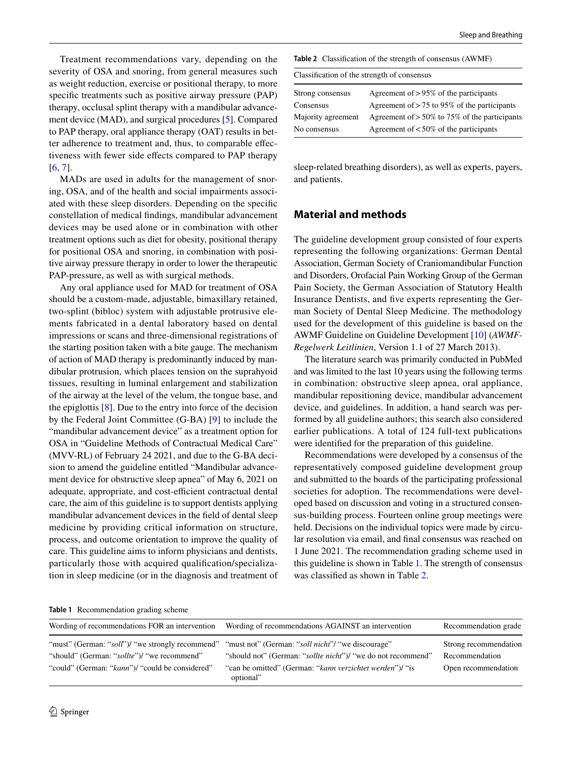Treatment recommendations vary, depending on the severity of OSA and snoring, from general measures such as weight reduction, exercise or positional therapy, to more specifc treatments such as positive airway pressure (PAP) therapy, occlusal splint therapy with a mandibular advancement device (MAD), and surgical procedures [[5\]](#page-7-4). Compared to PAP therapy, oral appliance therapy (OAT) results in better adherence to treatment and, thus, to comparable efectiveness with fewer side efects compared to PAP therapy [\[6](#page-7-5), [7](#page-7-6)].

MADs are used in adults for the management of snoring, OSA, and of the health and social impairments associated with these sleep disorders. Depending on the specifc constellation of medical fndings, mandibular advancement devices may be used alone or in combination with other treatment options such as diet for obesity, positional therapy for positional OSA and snoring, in combination with positive airway pressure therapy in order to lower the therapeutic PAP-pressure, as well as with surgical methods.

Any oral appliance used for MAD for treatment of OSA should be a custom-made, adjustable, bimaxillary retained, two-splint (bibloc) system with adjustable protrusive elements fabricated in a dental laboratory based on dental impressions or scans and three-dimensional registrations of the starting position taken with a bite gauge. The mechanism of action of MAD therapy is predominantly induced by mandibular protrusion, which places tension on the suprahyoid tissues, resulting in luminal enlargement and stabilization of the airway at the level of the velum, the tongue base, and the epiglottis  $[8]$  $[8]$ . Due to the entry into force of the decision by the Federal Joint Committee (G-BA) [\[9\]](#page-7-8) to include the "mandibular advancement device" as a treatment option for OSA in "Guideline Methods of Contractual Medical Care" (MVV-RL) of February 24 2021, and due to the G-BA decision to amend the guideline entitled "Mandibular advancement device for obstructive sleep apnea" of May 6, 2021 on adequate, appropriate, and cost-efficient contractual dental care, the aim of this guideline is to support dentists applying mandibular advancement devices in the feld of dental sleep medicine by providing critical information on structure, process, and outcome orientation to improve the quality of care. This guideline aims to inform physicians and dentists, particularly those with acquired qualifcation/specialization in sleep medicine (or in the diagnosis and treatment of

<span id="page-1-1"></span>

| <b>Table 2</b> Classification of the strength of consensus (AWMF) |                                                  |  |  |  |  |
|-------------------------------------------------------------------|--------------------------------------------------|--|--|--|--|
| Classification of the strength of consensus                       |                                                  |  |  |  |  |
| Strong consensus                                                  | Agreement of $> 95\%$ of the participants        |  |  |  |  |
| Consensus                                                         | Agreement of $> 75$ to 95% of the participants   |  |  |  |  |
| Majority agreement                                                | Agreement of $> 50\%$ to 75% of the participants |  |  |  |  |
| No consensus                                                      | Agreement of $< 50\%$ of the participants        |  |  |  |  |

sleep-related breathing disorders), as well as experts, payers, and patients.

# **Material and methods**

The guideline development group consisted of four experts representing the following organizations: German Dental Association, German Society of Craniomandibular Function and Disorders, Orofacial Pain Working Group of the German Pain Society, the German Association of Statutory Health Insurance Dentists, and fve experts representing the German Society of Dental Sleep Medicine. The methodology used for the development of this guideline is based on the AWMF Guideline on Guideline Development [[10\]](#page-7-9) (*AWMF-Regelwerk Leitlinien*, Version 1.1 of 27 March 2013).

The literature search was primarily conducted in PubMed and was limited to the last 10 years using the following terms in combination: obstructive sleep apnea, oral appliance, mandibular repositioning device, mandibular advancement device, and guidelines. In addition, a hand search was performed by all guideline authors; this search also considered earlier publications. A total of 124 full-text publications were identifed for the preparation of this guideline.

Recommendations were developed by a consensus of the representatively composed guideline development group and submitted to the boards of the participating professional societies for adoption. The recommendations were developed based on discussion and voting in a structured consensus-building process. Fourteen online group meetings were held. Decisions on the individual topics were made by circular resolution via email, and fnal consensus was reached on 1 June 2021. The recommendation grading scheme used in this guideline is shown in Table [1](#page-1-0). The strength of consensus was classifed as shown in Table [2.](#page-1-1)

<span id="page-1-0"></span>**Table 1** Recommendation grading scheme

| Wording of recommendations FOR an intervention                                                     | Wording of recommendations AGAINST an intervention           | Recommendation grade  |
|----------------------------------------------------------------------------------------------------|--------------------------------------------------------------|-----------------------|
| "must" (German: "soll")/ "we strongly recommend" "must not" (German: "soll nicht"/ "we discourage" | "should not" (German: "sollte nicht")/ "we do not recommend" | Strong recommendation |
| "should" (German: "sollte")/ "we recommend"                                                        | "can be omitted" (German: "kann verzichtet werden")/ "is     | Recommendation        |
| "could" (German: "kann")/ "could be considered"                                                    | optional"                                                    | Open recommendation   |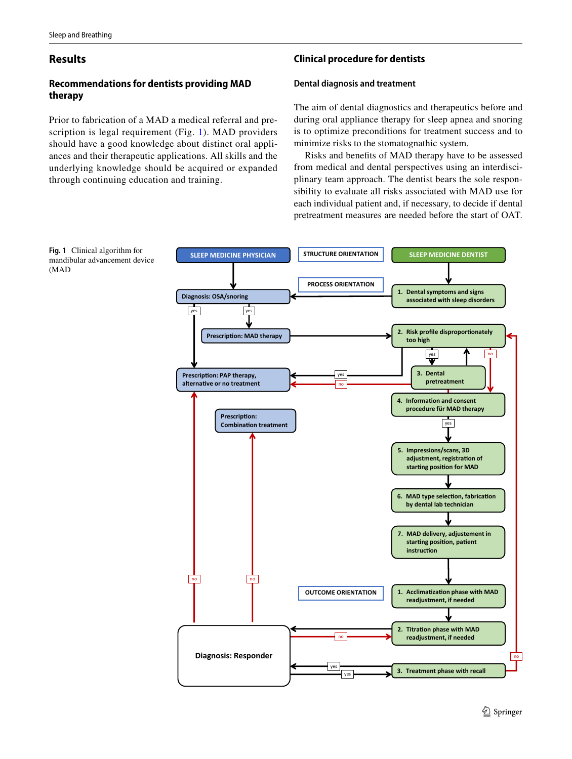# **Results**

# **Recommendations for dentists providing MAD therapy**

Prior to fabrication of a MAD a medical referral and prescription is legal requirement (Fig. [1\)](#page-2-0). MAD providers should have a good knowledge about distinct oral appliances and their therapeutic applications. All skills and the underlying knowledge should be acquired or expanded through continuing education and training.

# **Clinical procedure for dentists**

### **Dental diagnosis and treatment**

The aim of dental diagnostics and therapeutics before and during oral appliance therapy for sleep apnea and snoring is to optimize preconditions for treatment success and to minimize risks to the stomatognathic system.

Risks and benefts of MAD therapy have to be assessed from medical and dental perspectives using an interdisciplinary team approach. The dentist bears the sole responsibility to evaluate all risks associated with MAD use for each individual patient and, if necessary, to decide if dental pretreatment measures are needed before the start of OAT.



<span id="page-2-0"></span>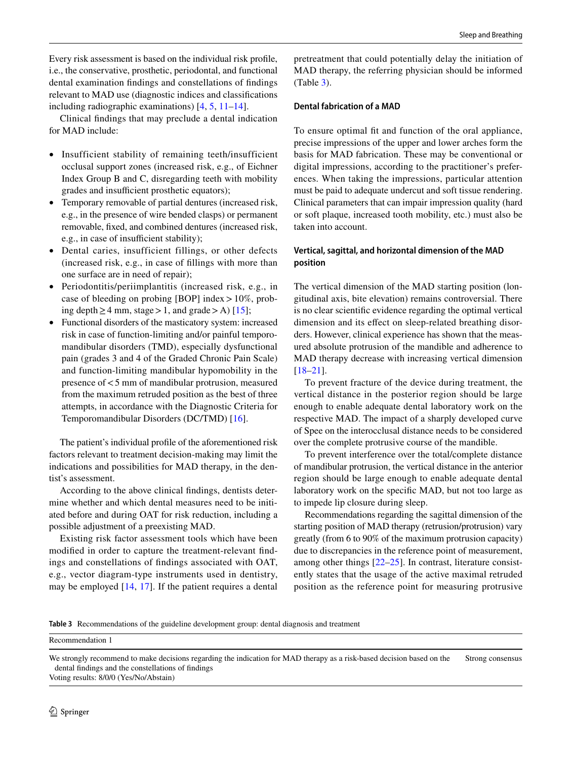Every risk assessment is based on the individual risk profle, i.e., the conservative, prosthetic, periodontal, and functional dental examination fndings and constellations of fndings relevant to MAD use (diagnostic indices and classifcations including radiographic examinations) [\[4](#page-7-3), [5](#page-7-4), [11](#page-7-10)[–14](#page-7-11)].

Clinical fndings that may preclude a dental indication for MAD include:

- Insufficient stability of remaining teeth/insufficient occlusal support zones (increased risk, e.g., of Eichner Index Group B and C, disregarding teeth with mobility grades and insufficient prosthetic equators);
- Temporary removable of partial dentures (increased risk, e.g., in the presence of wire bended clasps) or permanent removable, fxed, and combined dentures (increased risk, e.g., in case of insufficient stability);
- Dental caries, insufficient fillings, or other defects (increased risk, e.g., in case of fllings with more than one surface are in need of repair);
- Periodontitis/periimplantitis (increased risk, e.g., in case of bleeding on probing [BOP] index  $>10\%$ , prob-ing depth > 4 mm, stage > 1, and grade > A) [\[15\]](#page-7-12);
- Functional disorders of the masticatory system: increased risk in case of function-limiting and/or painful temporomandibular disorders (TMD), especially dysfunctional pain (grades 3 and 4 of the Graded Chronic Pain Scale) and function-limiting mandibular hypomobility in the presence of<5 mm of mandibular protrusion, measured from the maximum retruded position as the best of three attempts, in accordance with the Diagnostic Criteria for Temporomandibular Disorders (DC/TMD) [[16\]](#page-7-13).

The patient's individual profle of the aforementioned risk factors relevant to treatment decision-making may limit the indications and possibilities for MAD therapy, in the dentist's assessment.

According to the above clinical fndings, dentists determine whether and which dental measures need to be initiated before and during OAT for risk reduction, including a possible adjustment of a preexisting MAD.

Existing risk factor assessment tools which have been modifed in order to capture the treatment-relevant fndings and constellations of fndings associated with OAT, e.g., vector diagram-type instruments used in dentistry, may be employed [[14](#page-7-11), [17\]](#page-7-14). If the patient requires a dental pretreatment that could potentially delay the initiation of MAD therapy, the referring physician should be informed (Table [3\)](#page-3-0).

### **Dental fabrication of a MAD**

To ensure optimal ft and function of the oral appliance, precise impressions of the upper and lower arches form the basis for MAD fabrication. These may be conventional or digital impressions, according to the practitioner's preferences. When taking the impressions, particular attention must be paid to adequate undercut and soft tissue rendering. Clinical parameters that can impair impression quality (hard or soft plaque, increased tooth mobility, etc.) must also be taken into account.

# **Vertical, sagittal, and horizontal dimension of the MAD position**

The vertical dimension of the MAD starting position (longitudinal axis, bite elevation) remains controversial. There is no clear scientifc evidence regarding the optimal vertical dimension and its efect on sleep-related breathing disorders. However, clinical experience has shown that the measured absolute protrusion of the mandible and adherence to MAD therapy decrease with increasing vertical dimension [[18–](#page-7-15)[21\]](#page-7-16).

To prevent fracture of the device during treatment, the vertical distance in the posterior region should be large enough to enable adequate dental laboratory work on the respective MAD. The impact of a sharply developed curve of Spee on the interocclusal distance needs to be considered over the complete protrusive course of the mandible.

To prevent interference over the total/complete distance of mandibular protrusion, the vertical distance in the anterior region should be large enough to enable adequate dental laboratory work on the specifc MAD, but not too large as to impede lip closure during sleep.

Recommendations regarding the sagittal dimension of the starting position of MAD therapy (retrusion/protrusion) vary greatly (from 6 to 90% of the maximum protrusion capacity) due to discrepancies in the reference point of measurement, among other things [[22](#page-7-17)[–25](#page-7-18)]. In contrast, literature consistently states that the usage of the active maximal retruded position as the reference point for measuring protrusive

<span id="page-3-0"></span>**Table 3** Recommendations of the guideline development group: dental diagnosis and treatment

Recommendation 1

Voting results: 8/0/0 (Yes/No/Abstain)

We strongly recommend to make decisions regarding the indication for MAD therapy as a risk-based decision based on the dental fndings and the constellations of fndings Strong consensus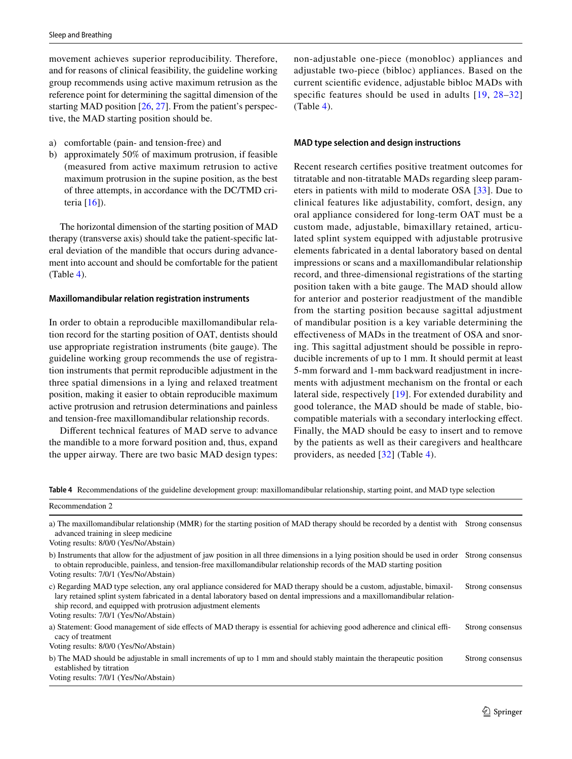movement achieves superior reproducibility. Therefore, and for reasons of clinical feasibility, the guideline working group recommends using active maximum retrusion as the reference point for determining the sagittal dimension of the starting MAD position [\[26](#page-8-0), [27](#page-8-1)]. From the patient's perspective, the MAD starting position should be.

- a) comfortable (pain- and tension-free) and
- b) approximately 50% of maximum protrusion, if feasible (measured from active maximum retrusion to active maximum protrusion in the supine position, as the best of three attempts, in accordance with the DC/TMD criteria [[16](#page-7-13)]).

The horizontal dimension of the starting position of MAD therapy (transverse axis) should take the patient-specifc lateral deviation of the mandible that occurs during advancement into account and should be comfortable for the patient (Table [4\)](#page-4-0).

#### **Maxillomandibular relation registration instruments**

In order to obtain a reproducible maxillomandibular relation record for the starting position of OAT, dentists should use appropriate registration instruments (bite gauge). The guideline working group recommends the use of registration instruments that permit reproducible adjustment in the three spatial dimensions in a lying and relaxed treatment position, making it easier to obtain reproducible maximum active protrusion and retrusion determinations and painless and tension-free maxillomandibular relationship records.

Diferent technical features of MAD serve to advance the mandible to a more forward position and, thus, expand the upper airway. There are two basic MAD design types: non-adjustable one-piece (monobloc) appliances and adjustable two-piece (bibloc) appliances. Based on the current scientifc evidence, adjustable bibloc MADs with specific features should be used in adults  $[19, 28-32]$  $[19, 28-32]$  $[19, 28-32]$  $[19, 28-32]$  $(Table 4)$  $(Table 4)$ .

### **MAD type selection and design instructions**

Recent research certifes positive treatment outcomes for titratable and non-titratable MADs regarding sleep parameters in patients with mild to moderate OSA [[33](#page-8-4)]. Due to clinical features like adjustability, comfort, design, any oral appliance considered for long-term OAT must be a custom made, adjustable, bimaxillary retained, articulated splint system equipped with adjustable protrusive elements fabricated in a dental laboratory based on dental impressions or scans and a maxillomandibular relationship record, and three-dimensional registrations of the starting position taken with a bite gauge. The MAD should allow for anterior and posterior readjustment of the mandible from the starting position because sagittal adjustment of mandibular position is a key variable determining the efectiveness of MADs in the treatment of OSA and snoring. This sagittal adjustment should be possible in reproducible increments of up to 1 mm. It should permit at least 5-mm forward and 1-mm backward readjustment in increments with adjustment mechanism on the frontal or each lateral side, respectively [[19](#page-7-19)]. For extended durability and good tolerance, the MAD should be made of stable, biocompatible materials with a secondary interlocking efect. Finally, the MAD should be easy to insert and to remove by the patients as well as their caregivers and healthcare providers, as needed [\[32\]](#page-8-3) (Table [4](#page-4-0)).

<span id="page-4-0"></span>**Table 4** Recommendations of the guideline development group: maxillomandibular relationship, starting point, and MAD type selection

| Recommendation 2                                                                                                                                                                                                                                                                                                        |                  |
|-------------------------------------------------------------------------------------------------------------------------------------------------------------------------------------------------------------------------------------------------------------------------------------------------------------------------|------------------|
| a) The maxillomandibular relationship (MMR) for the starting position of MAD therapy should be recorded by a dentist with<br>advanced training in sleep medicine.                                                                                                                                                       | Strong consensus |
| Voting results: 8/0/0 (Yes/No/Abstain)                                                                                                                                                                                                                                                                                  |                  |
| b) Instruments that allow for the adjustment of jaw position in all three dimensions in a lying position should be used in order Strong consensus<br>to obtain reproducible, painless, and tension-free maxillomandibular relationship records of the MAD starting position                                             |                  |
| Voting results: 7/0/1 (Yes/No/Abstain)                                                                                                                                                                                                                                                                                  |                  |
| c) Regarding MAD type selection, any oral appliance considered for MAD therapy should be a custom, adjustable, bimaxil-<br>lary retained splint system fabricated in a dental laboratory based on dental impressions and a maxillomandibular relation-<br>ship record, and equipped with protrusion adjustment elements | Strong consensus |
| Voting results: 7/0/1 (Yes/No/Abstain)                                                                                                                                                                                                                                                                                  |                  |
| a) Statement: Good management of side effects of MAD therapy is essential for achieving good adherence and clinical effi-<br>cacy of treatment                                                                                                                                                                          | Strong consensus |
| Voting results: 8/0/0 (Yes/No/Abstain)                                                                                                                                                                                                                                                                                  |                  |
| b) The MAD should be adjustable in small increments of up to 1 mm and should stably maintain the therapeutic position<br>established by titration                                                                                                                                                                       | Strong consensus |
| Voting results: 7/0/1 (Yes/No/Abstain)                                                                                                                                                                                                                                                                                  |                  |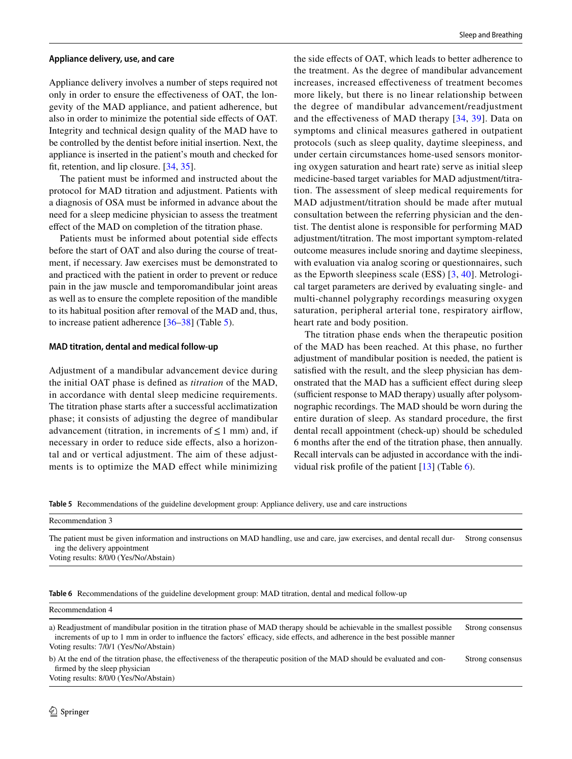#### **Appliance delivery, use, and care**

Appliance delivery involves a number of steps required not only in order to ensure the efectiveness of OAT, the longevity of the MAD appliance, and patient adherence, but also in order to minimize the potential side efects of OAT. Integrity and technical design quality of the MAD have to be controlled by the dentist before initial insertion. Next, the appliance is inserted in the patient's mouth and checked for ft, retention, and lip closure. [[34](#page-8-5), [35](#page-8-6)].

The patient must be informed and instructed about the protocol for MAD titration and adjustment. Patients with a diagnosis of OSA must be informed in advance about the need for a sleep medicine physician to assess the treatment efect of the MAD on completion of the titration phase.

Patients must be informed about potential side effects before the start of OAT and also during the course of treatment, if necessary. Jaw exercises must be demonstrated to and practiced with the patient in order to prevent or reduce pain in the jaw muscle and temporomandibular joint areas as well as to ensure the complete reposition of the mandible to its habitual position after removal of the MAD and, thus, to increase patient adherence [[36–](#page-8-7)[38\]](#page-8-8) (Table [5](#page-5-0)).

#### **MAD titration, dental and medical follow‑up**

Adjustment of a mandibular advancement device during the initial OAT phase is defned as *titration* of the MAD, in accordance with dental sleep medicine requirements. The titration phase starts after a successful acclimatization phase; it consists of adjusting the degree of mandibular advancement (titration, in increments of  $\leq 1$  mm) and, if necessary in order to reduce side efects, also a horizontal and or vertical adjustment. The aim of these adjustments is to optimize the MAD efect while minimizing the side efects of OAT, which leads to better adherence to the treatment. As the degree of mandibular advancement increases, increased efectiveness of treatment becomes more likely, but there is no linear relationship between the degree of mandibular advancement/readjustment and the efectiveness of MAD therapy [[34](#page-8-5), [39\]](#page-8-9). Data on symptoms and clinical measures gathered in outpatient protocols (such as sleep quality, daytime sleepiness, and under certain circumstances home-used sensors monitoring oxygen saturation and heart rate) serve as initial sleep medicine-based target variables for MAD adjustment/titration. The assessment of sleep medical requirements for MAD adjustment/titration should be made after mutual consultation between the referring physician and the dentist. The dentist alone is responsible for performing MAD adjustment/titration. The most important symptom-related outcome measures include snoring and daytime sleepiness, with evaluation via analog scoring or questionnaires, such as the Epworth sleepiness scale (ESS) [[3](#page-7-2), [40\]](#page-8-10). Metrological target parameters are derived by evaluating single- and multi-channel polygraphy recordings measuring oxygen saturation, peripheral arterial tone, respiratory airfow, heart rate and body position.

The titration phase ends when the therapeutic position of the MAD has been reached. At this phase, no further adjustment of mandibular position is needed, the patient is satisfed with the result, and the sleep physician has demonstrated that the MAD has a sufficient effect during sleep (sufficient response to MAD therapy) usually after polysomnographic recordings. The MAD should be worn during the entire duration of sleep. As standard procedure, the frst dental recall appointment (check-up) should be scheduled 6 months after the end of the titration phase, then annually. Recall intervals can be adjusted in accordance with the individual risk profle of the patient [[13\]](#page-7-20) (Table [6\)](#page-5-1).

<span id="page-5-0"></span>**Table 5** Recommendations of the guideline development group: Appliance delivery, use and care instructions

| Recommendation 3                                                                                                                                                                                      |                  |
|-------------------------------------------------------------------------------------------------------------------------------------------------------------------------------------------------------|------------------|
| The patient must be given information and instructions on MAD handling, use and care, jaw exercises, and dental recall dur-<br>ing the delivery appointment<br>Voting results: 8/0/0 (Yes/No/Abstain) | Strong consensus |

<span id="page-5-1"></span>**Table 6** Recommendations of the guideline development group: MAD titration, dental and medical follow-up

#### Recommendation 4

a) Readjustment of mandibular position in the titration phase of MAD therapy should be achievable in the smallest possible increments of up to 1 mm in order to influence the factors' efficacy, side effects, and adherence in the best possible manner Voting results: 7/0/1 (Yes/No/Abstain) Strong consensus

b) At the end of the titration phase, the efectiveness of the therapeutic position of the MAD should be evaluated and confrmed by the sleep physician Strong consensus

Voting results: 8/0/0 (Yes/No/Abstain)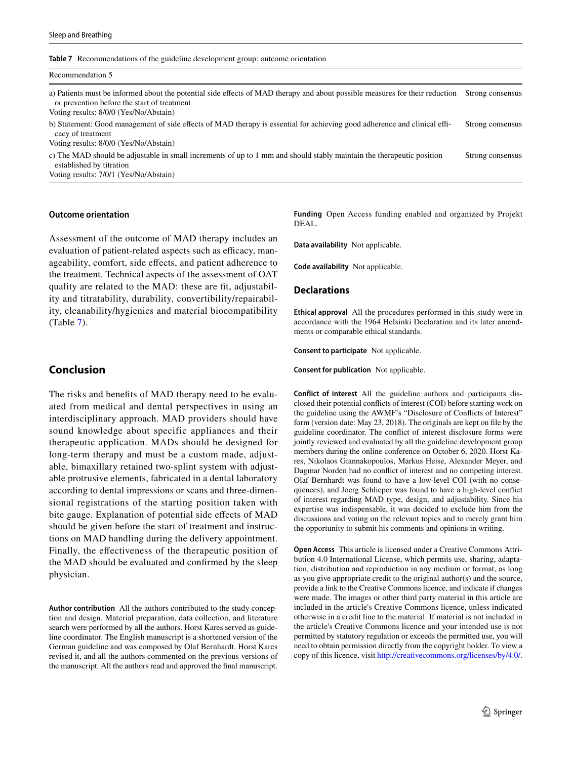<span id="page-6-0"></span>

|  | Table 7 Recommendations of the guideline development group: outcome orientation |  |  |  |  |
|--|---------------------------------------------------------------------------------|--|--|--|--|
|--|---------------------------------------------------------------------------------|--|--|--|--|

Recommendation 5

| a) Patients must be informed about the potential side effects of MAD therapy and about possible measures for their reduction                                                                | Strong consensus |
|---------------------------------------------------------------------------------------------------------------------------------------------------------------------------------------------|------------------|
| or prevention before the start of treatment<br>Voting results: 8/0/0 (Yes/No/Abstain)                                                                                                       |                  |
| b) Statement: Good management of side effects of MAD therapy is essential for achieving good adherence and clinical effi-<br>cacy of treatment<br>Voting results: 8/0/0 (Yes/No/Abstain)    | Strong consensus |
| c) The MAD should be adjustable in small increments of up to 1 mm and should stably maintain the therapeutic position<br>established by titration<br>Voting results: 7/0/1 (Yes/No/Abstain) | Strong consensus |

#### **Outcome orientation**

Assessment of the outcome of MAD therapy includes an evaluation of patient-related aspects such as efficacy, manageability, comfort, side efects, and patient adherence to the treatment. Technical aspects of the assessment of OAT quality are related to the MAD: these are fit, adjustability and titratability, durability, convertibility/repairability, cleanability/hygienics and material biocompatibility (Table [7\)](#page-6-0).

### **Conclusion**

The risks and benefts of MAD therapy need to be evaluated from medical and dental perspectives in using an interdisciplinary approach. MAD providers should have sound knowledge about specific appliances and their therapeutic application. MADs should be designed for long-term therapy and must be a custom made, adjustable, bimaxillary retained two-splint system with adjustable protrusive elements, fabricated in a dental laboratory according to dental impressions or scans and three-dimensional registrations of the starting position taken with bite gauge. Explanation of potential side effects of MAD should be given before the start of treatment and instructions on MAD handling during the delivery appointment. Finally, the efectiveness of the therapeutic position of the MAD should be evaluated and confrmed by the sleep physician.

**Author contribution** All the authors contributed to the study conception and design. Material preparation, data collection, and literature search were performed by all the authors. Horst Kares served as guideline coordinator. The English manuscript is a shortened version of the German guideline and was composed by Olaf Bernhardt. Horst Kares revised it, and all the authors commented on the previous versions of the manuscript. All the authors read and approved the fnal manuscript.

**Funding** Open Access funding enabled and organized by Projekt DEAL.

**Data availability** Not applicable.

**Code availability** Not applicable.

#### **Declarations**

**Ethical approval** All the procedures performed in this study were in accordance with the 1964 Helsinki Declaration and its later amendments or comparable ethical standards.

**Consent to participate** Not applicable.

**Consent for publication** Not applicable.

**Conflict of interest** All the guideline authors and participants disclosed their potential conficts of interest (COI) before starting work on the guideline using the AWMF's "Disclosure of Conficts of Interest" form (version date: May 23, 2018). The originals are kept on fle by the guideline coordinator. The confict of interest disclosure forms were jointly reviewed and evaluated by all the guideline development group members during the online conference on October 6, 2020. Horst Kares, Nikolaos Giannakopoulos, Markus Heise, Alexander Meyer, and Dagmar Norden had no confict of interest and no competing interest. Olaf Bernhardt was found to have a low-level COI (with no consequences), and Joerg Schlieper was found to have a high-level confict of interest regarding MAD type, design, and adjustability. Since his expertise was indispensable, it was decided to exclude him from the discussions and voting on the relevant topics and to merely grant him the opportunity to submit his comments and opinions in writing.

**Open Access** This article is licensed under a Creative Commons Attribution 4.0 International License, which permits use, sharing, adaptation, distribution and reproduction in any medium or format, as long as you give appropriate credit to the original author(s) and the source, provide a link to the Creative Commons licence, and indicate if changes were made. The images or other third party material in this article are included in the article's Creative Commons licence, unless indicated otherwise in a credit line to the material. If material is not included in the article's Creative Commons licence and your intended use is not permitted by statutory regulation or exceeds the permitted use, you will need to obtain permission directly from the copyright holder. To view a copy of this licence, visit<http://creativecommons.org/licenses/by/4.0/>.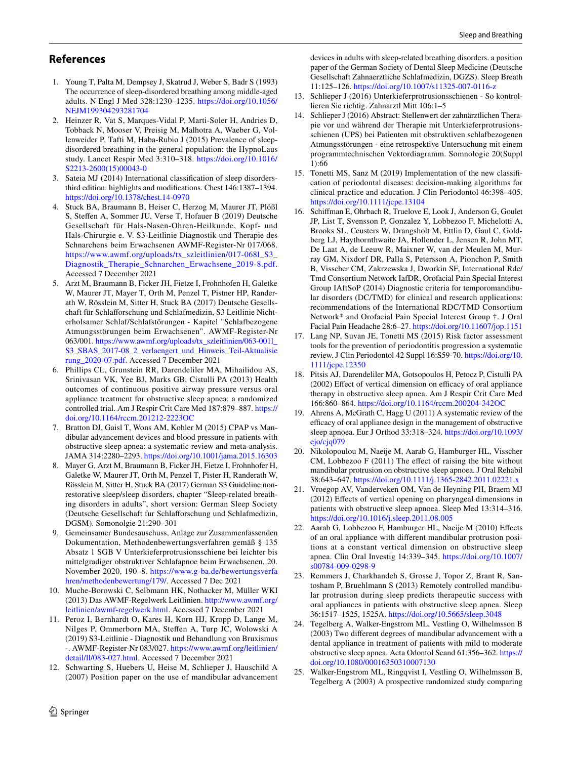## **References**

- <span id="page-7-0"></span>1. Young T, Palta M, Dempsey J, Skatrud J, Weber S, Badr S (1993) The occurrence of sleep-disordered breathing among middle-aged adults. N Engl J Med 328:1230–1235. [https://doi.org/10.1056/](https://doi.org/10.1056/NEJM199304293281704) [NEJM199304293281704](https://doi.org/10.1056/NEJM199304293281704)
- <span id="page-7-1"></span>2. Heinzer R, Vat S, Marques-Vidal P, Marti-Soler H, Andries D, Tobback N, Mooser V, Preisig M, Malhotra A, Waeber G, Vollenweider P, Tafti M, Haba-Rubio J (2015) Prevalence of sleepdisordered breathing in the general population: the HypnoLaus study. Lancet Respir Med 3:310–318. [https://doi.org/10.1016/](https://doi.org/10.1016/S2213-2600(15)00043-0) [S2213-2600\(15\)00043-0](https://doi.org/10.1016/S2213-2600(15)00043-0)
- <span id="page-7-2"></span>3. Sateia MJ (2014) International classifcation of sleep disordersthird edition: highlights and modifcations. Chest 146:1387–1394. <https://doi.org/10.1378/chest.14-0970>
- <span id="page-7-3"></span>4. Stuck BA, Braumann B, Heiser C, Herzog M, Maurer JT, Plößl S, Stefen A, Sommer JU, Verse T, Hofauer B (2019) Deutsche Gesellschaft für Hals-Nasen-Ohren-Heilkunde, Kopf- und Hals-Chirurgie e. V. S3-Leitlinie Diagnostik und Therapie des Schnarchens beim Erwachsenen AWMF-Register-Nr 017/068. [https://www.awmf.org/uploads/tx\\_szleitlinien/017-068l\\_S3\\_](https://www.awmf.org/uploads/tx_szleitlinien/017-068l_S3_Diagnostik_Therapie_Schnarchen_Erwachsene_2019-8.pdf) [Diagnostik\\_Therapie\\_Schnarchen\\_Erwachsene\\_2019-8.pdf.](https://www.awmf.org/uploads/tx_szleitlinien/017-068l_S3_Diagnostik_Therapie_Schnarchen_Erwachsene_2019-8.pdf) Accessed 7 December 2021
- <span id="page-7-4"></span>5. Arzt M, Braumann B, Ficker JH, Fietze I, Frohnhofen H, Galetke W, Maurer JT, Mayer T, Orth M, Penzel T, Pistner HP, Randerath W, Rösslein M, Sitter H, Stuck BA (2017) Deutsche Gesellschaft für Schlaforschung und Schlafmedizin, S3 Leitlinie Nichterholsamer Schlaf/Schlafstörungen - Kapitel "Schlafbezogene Atmungsstörungen beim Erwachsenen". AWMF-Register-Nr 063/001. [https://www.awmf.org/uploads/tx\\_szleitlinien/063-001l\\_](https://www.awmf.org/uploads/tx_szleitlinien/063-001l_S3_SBAS_2017-08_2_verlaengert_und_Hinweis_Teil-Aktualisierung_2020-07.pdf) [S3\\_SBAS\\_2017-08\\_2\\_verlaengert\\_und\\_Hinweis\\_Teil-Aktualisie](https://www.awmf.org/uploads/tx_szleitlinien/063-001l_S3_SBAS_2017-08_2_verlaengert_und_Hinweis_Teil-Aktualisierung_2020-07.pdf) [rung\\_2020-07.pdf.](https://www.awmf.org/uploads/tx_szleitlinien/063-001l_S3_SBAS_2017-08_2_verlaengert_und_Hinweis_Teil-Aktualisierung_2020-07.pdf) Accessed 7 December 2021
- <span id="page-7-5"></span>6. Phillips CL, Grunstein RR, Darendeliler MA, Mihailidou AS, Srinivasan VK, Yee BJ, Marks GB, Cistulli PA (2013) Health outcomes of continuous positive airway pressure versus oral appliance treatment for obstructive sleep apnea: a randomized controlled trial. Am J Respir Crit Care Med 187:879–887. [https://](https://doi.org/10.1164/rccm.201212-2223OC) [doi.org/10.1164/rccm.201212-2223OC](https://doi.org/10.1164/rccm.201212-2223OC)
- <span id="page-7-6"></span>7. Bratton DJ, Gaisl T, Wons AM, Kohler M (2015) CPAP vs Mandibular advancement devices and blood pressure in patients with obstructive sleep apnea: a systematic review and meta-analysis. JAMA 314:2280–2293.<https://doi.org/10.1001/jama.2015.16303>
- <span id="page-7-7"></span>8. Mayer G, Arzt M, Braumann B, Ficker JH, Fietze I, Frohnhofer H, Galetke W, Maurer JT, Orth M, Penzel T, Pister H, Randerath W, Rösslein M, Sitter H, Stuck BA (2017) German S3 Guideline nonrestorative sleep/sleep disorders, chapter "Sleep-related breathing disorders in adults", short version: German Sleep Society (Deutsche Gesellschaft fur Schlaforschung und Schlafmedizin, DGSM). Somonolgie 21:290–301
- <span id="page-7-8"></span>9. Gemeinsamer Bundesauschuss, Anlage zur Zusammenfassenden Dokumentation, Methodenbewertungsverfahren gemäß § 135 Absatz 1 SGB V Unterkieferprotrusionsschiene bei leichter bis mittelgradiger obstruktiver Schlafapnoe beim Erwachsenen, 20. November 2020, 190–8. [https://www.g-ba.de/bewertungsverfa](https://www.g-ba.de/bewertungsverfahren/methodenbewertung/179/) [hren/methodenbewertung/179/](https://www.g-ba.de/bewertungsverfahren/methodenbewertung/179/). Accessed 7 Dec 2021
- <span id="page-7-9"></span>10. Muche-Borowski C, Selbmann HK, Nothacker M, Müller WKI (2013) Das AWMF-Regelwerk Leitlinien. [http://www.awmf.org/](http://www.awmf.org/leitlinien/awmf-regelwerk.html) [leitlinien/awmf-regelwerk.html](http://www.awmf.org/leitlinien/awmf-regelwerk.html). Accessed 7 December 2021
- <span id="page-7-10"></span>11. Peroz I, Bernhardt O, Kares H, Korn HJ, Kropp D, Lange M, Nilges P, Ommerborn MA, Stefen A, Turp JC, Wolowski A (2019) S3-Leitlinie - Diagnostik und Behandlung von Bruxismus -. AWMF-Register-Nr 083/027. [https://www.awmf.org/leitlinien/](https://www.awmf.org/leitlinien/detail/ll/083-027.html) [detail/ll/083-027.html](https://www.awmf.org/leitlinien/detail/ll/083-027.html). Accessed 7 December 2021
- 12. Schwarting S, Huebers U, Heise M, Schlieper J, Hauschild A (2007) Position paper on the use of mandibular advancement

devices in adults with sleep-related breathing disorders. a position paper of the German Society of Dental Sleep Medicine (Deutsche Gesellschaft Zahnaerztliche Schlafmedizin, DGZS). Sleep Breath 11:125–126.<https://doi.org/10.1007/s11325-007-0116-z>

- <span id="page-7-20"></span>13. Schlieper J (2016) Unterkieferprotrusionsschienen - So kontrollieren Sie richtig. Zahnarztl Mitt 106:1–5
- <span id="page-7-11"></span>14. Schlieper J (2016) Abstract: Stellenwert der zahnärztlichen Therapie vor und während der Therapie mit Unterkieferprotrusionsschienen (UPS) bei Patienten mit obstruktiven schlafbezogenen Atmungsstörungen - eine retrospektive Untersuchung mit einem programmtechnischen Vektordiagramm. Somnologie 20(Suppl 1):66
- <span id="page-7-12"></span>15. Tonetti MS, Sanz M (2019) Implementation of the new classifcation of periodontal diseases: decision-making algorithms for clinical practice and education. J Clin Periodontol 46:398–405. <https://doi.org/10.1111/jcpe.13104>
- <span id="page-7-13"></span>16. Schifman E, Ohrbach R, Truelove E, Look J, Anderson G, Goulet JP, List T, Svensson P, Gonzalez Y, Lobbezoo F, Michelotti A, Brooks SL, Ceusters W, Drangsholt M, Ettlin D, Gaul C, Goldberg LJ, Haythornthwaite JA, Hollender L, Jensen R, John MT, De Laat A, de Leeuw R, Maixner W, van der Meulen M, Murray GM, Nixdorf DR, Palla S, Petersson A, Pionchon P, Smith B, Visscher CM, Zakrzewska J, Dworkin SF, International Rdc/ Tmd Consortium Network IafDR, Orofacial Pain Special Interest Group IAftSoP (2014) Diagnostic criteria for temporomandibular disorders (DC/TMD) for clinical and research applications: recommendations of the International RDC/TMD Consortium Network\* and Orofacial Pain Special Interest Group †. J Oral Facial Pain Headache 28:6–27.<https://doi.org/10.11607/jop.1151>
- <span id="page-7-14"></span>17. Lang NP, Suvan JE, Tonetti MS (2015) Risk factor assessment tools for the prevention of periodontitis progression a systematic review. J Clin Periodontol 42 Suppl 16:S59-70. [https://doi.org/10.](https://doi.org/10.1111/jcpe.12350) [1111/jcpe.12350](https://doi.org/10.1111/jcpe.12350)
- <span id="page-7-15"></span>18. Pitsis AJ, Darendeliler MA, Gotsopoulos H, Petocz P, Cistulli PA  $(2002)$  Effect of vertical dimension on efficacy of oral appliance therapy in obstructive sleep apnea. Am J Respir Crit Care Med 166:860–864. <https://doi.org/10.1164/rccm.200204-342OC>
- <span id="page-7-19"></span>19. Ahrens A, McGrath C, Hagg U (2011) A systematic review of the efficacy of oral appliance design in the management of obstructive sleep apnoea. Eur J Orthod 33:318–324. [https://doi.org/10.1093/](https://doi.org/10.1093/ejo/cjq079) [ejo/cjq079](https://doi.org/10.1093/ejo/cjq079)
- 20. Nikolopoulou M, Naeije M, Aarab G, Hamburger HL, Visscher CM, Lobbezoo F (2011) The effect of raising the bite without mandibular protrusion on obstructive sleep apnoea. J Oral Rehabil 38:643–647.<https://doi.org/10.1111/j.1365-2842.2011.02221.x>
- <span id="page-7-16"></span>21. Vroegop AV, Vanderveken OM, Van de Heyning PH, Braem MJ (2012) Efects of vertical opening on pharyngeal dimensions in patients with obstructive sleep apnoea. Sleep Med 13:314–316. <https://doi.org/10.1016/j.sleep.2011.08.005>
- <span id="page-7-17"></span>22. Aarab G, Lobbezoo F, Hamburger HL, Naeije M (2010) Efects of an oral appliance with diferent mandibular protrusion positions at a constant vertical dimension on obstructive sleep apnea. Clin Oral Investig 14:339–345. [https://doi.org/10.1007/](https://doi.org/10.1007/s00784-009-0298-9) [s00784-009-0298-9](https://doi.org/10.1007/s00784-009-0298-9)
- 23. Remmers J, Charkhandeh S, Grosse J, Topor Z, Brant R, Santosham P, Bruehlmann S (2013) Remotely controlled mandibular protrusion during sleep predicts therapeutic success with oral appliances in patients with obstructive sleep apnea. Sleep 36:1517–1525, 1525A. <https://doi.org/10.5665/sleep.3048>
- 24. Tegelberg A, Walker-Engstrom ML, Vestling O, Wilhelmsson B (2003) Two diferent degrees of mandibular advancement with a dental appliance in treatment of patients with mild to moderate obstructive sleep apnea. Acta Odontol Scand 61:356–362. [https://](https://doi.org/10.1080/00016350310007130) [doi.org/10.1080/00016350310007130](https://doi.org/10.1080/00016350310007130)
- <span id="page-7-18"></span>25. Walker-Engstrom ML, Ringqvist I, Vestling O, Wilhelmsson B, Tegelberg A (2003) A prospective randomized study comparing